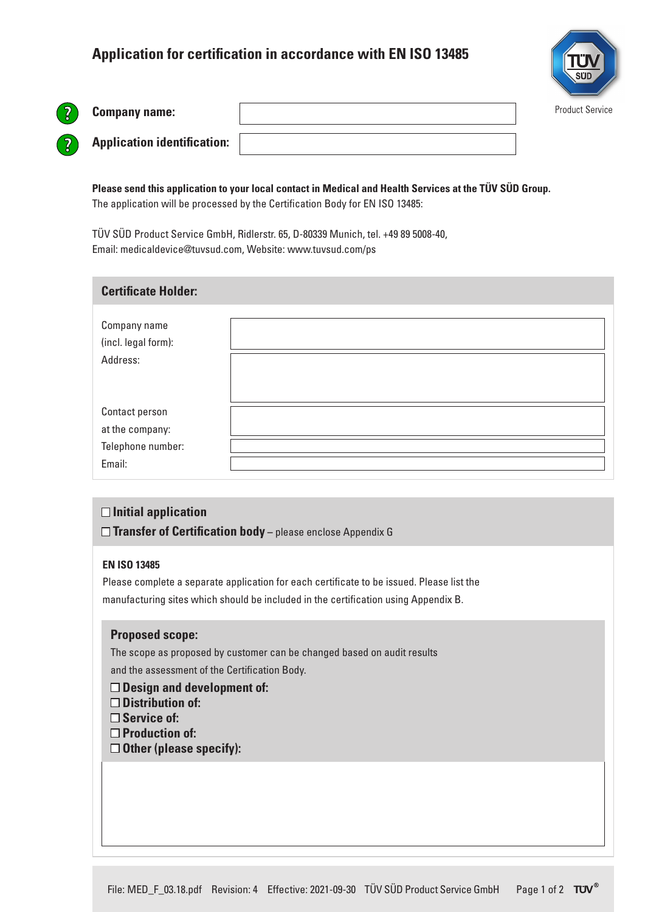# **Application for certification in accordance with EN ISO 13485**



**Company name:**

| <b>Application identification:</b> |  |
|------------------------------------|--|

**Please send this application to your local contact in Medical and Health Services at the TÜV SÜD Group.**  The application will be processed by the Certification Body for EN ISO 13485:

TÜV SÜD Product Service GmbH, Ridlerstr. 65, D-80339 Munich, tel. +49 89 5008-40, Email: medicaldevice@tuvsud.com, Website: www.tuvsud.com/ps

### **Certificate Holder:**

| Company name<br>(incl. legal form):<br>Address:                  |  |
|------------------------------------------------------------------|--|
| Contact person<br>at the company:<br>Telephone number:<br>Email: |  |

### **□Initial application**

□ Transfer of Certification body – please enclose Appendix G

#### **EN ISO 13485**

Please complete a separate application for each certificate to be issued. Please list the manufacturing sites which should be included in the certification using Appendix B.

#### **Proposed scope:**

The scope as proposed by customer can be changed based on audit results and the assessment of the Certification Body.

- **Design and development of:**
- **Distribution of:**
- **Service of:**
- **Production of:**
- **Other (please specify):**